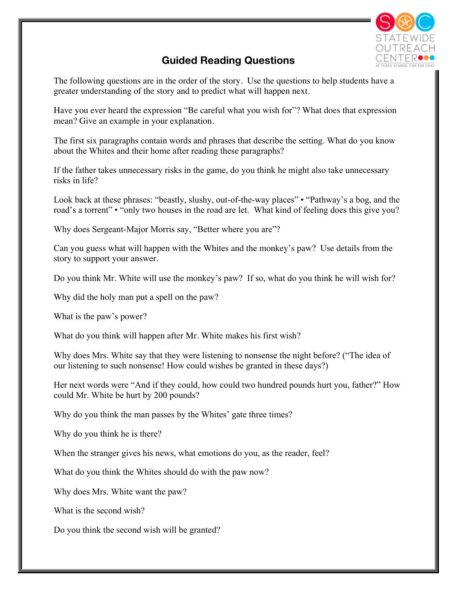

## **Guided Reading Questions**

The following questions are in the order of the story. Use the questions to help students have a greater understanding of the story and to predict what will happen next.

Have you ever heard the expression "Be careful what you wish for"? What does that expression mean? Give an example in your explanation.

The first six paragraphs contain words and phrases that describe the setting. What do you know about the Whites and their home after reading these paragraphs?

If the father takes unnecessary risks in the game, do you think he might also take unnecessary risks in life?

Look back at these phrases: "beastly, slushy, out-of-the-way places" • "Pathway's a bog, and the road's a torrent" • "only two houses in the road are let. What kind of feeling does this give you?

Why does Sergeant-Major Morris say, "Better where you are"?

Can you guess what will happen with the Whites and the monkey's paw? Use details from the story to support your answer.

Do you think Mr. White will use the monkey's paw? If so, what do you think he will wish for?

Why did the holy man put a spell on the paw?

What is the paw's power?

What do you think will happen after Mr. White makes his first wish?

Why does Mrs. White say that they were listening to nonsense the night before? ("The idea of our listening to such nonsense! How could wishes be granted in these days?)

Her next words were "And if they could, how could two hundred pounds hurt you, father?" How could Mr. White be hurt by 200 pounds?

Why do you think the man passes by the Whites' gate three times?

Why do you think he is there?

When the stranger gives his news, what emotions do you, as the reader, feel?

What do you think the Whites should do with the paw now?

Why does Mrs. White want the paw?

What is the second wish?

Do you think the second wish will be granted?